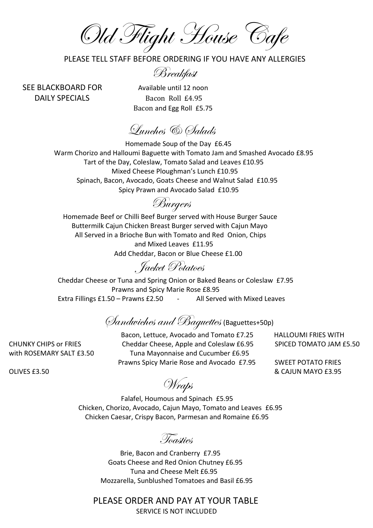Old Flight House Cafe

PLEASE TELL STAFF BEFORE ORDERING IF YOU HAVE ANY ALLERGIES

Breakfast

SEE BLACKBOARD FOR Available until 12 noon DAILY SPECIALS Bacon Roll £4.95 Bacon and Egg Roll £5.75

Lunches & Salads

 Homemade Soup of the Day £6.45 Warm Chorizo and Halloumi Baguette with Tomato Jam and Smashed Avocado £8.95 Tart of the Day, Coleslaw, Tomato Salad and Leaves £10.95 Mixed Cheese Ploughman's Lunch £10.95 Spinach, Bacon, Avocado, Goats Cheese and Walnut Salad £10.95 Spicy Prawn and Avocado Salad £10.95

Burgers

 Homemade Beef or Chilli Beef Burger served with House Burger Sauce Buttermilk Cajun Chicken Breast Burger served with Cajun Mayo All Served in a Brioche Bun with Tomato and Red Onion, Chips and Mixed Leaves £11.95 Add Cheddar, Bacon or Blue Cheese £1.00

Jacket Potatoes

Cheddar Cheese or Tuna and Spring Onion or Baked Beans or Coleslaw £7.95 Prawns and Spicy Marie Rose £8.95 Extra Fillings £1.50 – Prawns £2.50 – All Served with Mixed Leaves

Sandwiches and Baguettes (Baguettes+50p)

 Bacon, Lettuce, Avocado and Tomato £7.25 HALLOUMI FRIES WITH CHUNKY CHIPS or FRIES Cheddar Cheese, Apple and Coleslaw £6.95 SPICED TOMATO JAM £5.50 with ROSEMARY SALT £3.50 Tuna Mayonnaise and Cucumber £6.95 Prawns Spicy Marie Rose and Avocado £7.95 SWEET POTATO FRIES

Prawns spicy ware nose and Avocado E7.55 BWELT POTATO THES<br>8 CAJUN MAYO £3.95 &

Wraps

 Falafel, Houmous and Spinach £5.95 Chicken, Chorizo, Avocado, Cajun Mayo, Tomato and Leaves £6.95 Chicken Caesar, Crispy Bacon, Parmesan and Romaine £6.95

Toasties

 Brie, Bacon and Cranberry £7.95 Goats Cheese and Red Onion Chutney £6.95 Tuna and Cheese Melt £6.95 Mozzarella, Sunblushed Tomatoes and Basil £6.95

PLEASE ORDER AND PAY AT YOUR TABLE

SERVICE IS NOT INCLUDED